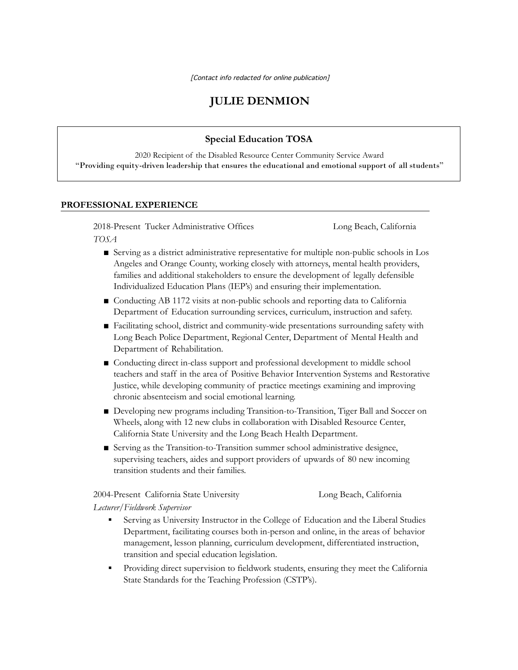[Contact info redacted for online publication]

# **JULIE DENMION**

#### **Special Education TOSA**

2020 Recipient of the Disabled Resource Center Community Service Award "Providing equity-driven leadership that ensures the educational and emotional support of all students"

#### **PROFESSIONAL EXPERIENCE**

2018-Present Tucker Administrative Offices Long Beach, California *TOSA*

- Serving as a district administrative representative for multiple non-public schools in Los Angeles and Orange County, working closely with attorneys, mental health providers, families and additional stakeholders to ensure the development of legally defensible Individualized Education Plans (IEP's) and ensuring their implementation.
- Conducting AB 1172 visits at non-public schools and reporting data to California Department of Education surrounding services, curriculum, instruction and safety.
- Facilitating school, district and community-wide presentations surrounding safety with Long Beach Police Department, Regional Center, Department of Mental Health and Department of Rehabilitation.
- Conducting direct in-class support and professional development to middle school teachers and staff in the area of Positive Behavior Intervention Systems and Restorative Justice, while developing community of practice meetings examining and improving chronic absenteeism and social emotional learning.
- Developing new programs including Transition-to-Transition, Tiger Ball and Soccer on Wheels, along with 12 new clubs in collaboration with Disabled Resource Center, California State University and the Long Beach Health Department.
- Serving as the Transition-to-Transition summer school administrative designee, supervising teachers, aides and support providers of upwards of 80 new incoming transition students and their families.

2004-Present California State University Long Beach, California

*Lecturer/Fieldwork Supervisor*

- Serving as University Instructor in the College of Education and the Liberal Studies Department, facilitating courses both in-person and online, in the areas of behavior management, lesson planning, curriculum development, differentiated instruction, transition and special education legislation.
- Providing direct supervision to fieldwork students, ensuring they meet the California State Standards for the Teaching Profession (CSTP's).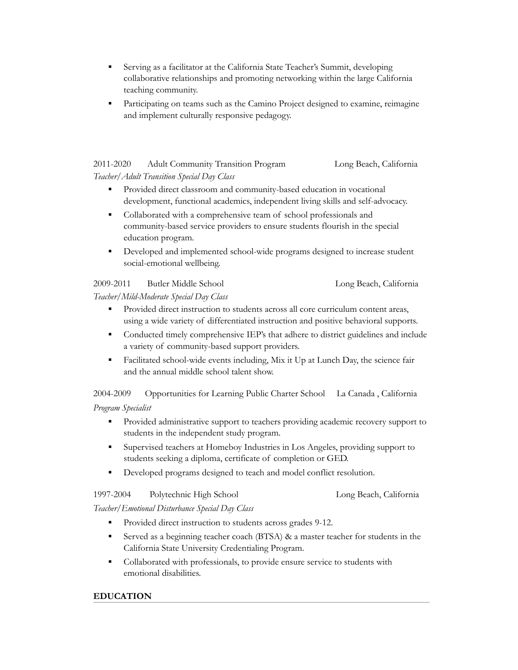- Serving as a facilitator at the California State Teacher's Summit, developing collaborative relationships and promoting networking within the large California teaching community.
- Participating on teams such as the Camino Project designed to examine, reimagine and implement culturally responsive pedagogy.

#### 2011-2020 Adult Community Transition Program Long Beach, California *Teacher/Adult Transition Special Day Class*

- Provided direct classroom and community-based education in vocational development, functional academics, independent living skills and self-advocacy.
- Collaborated with a comprehensive team of school professionals and community-based service providers to ensure students flourish in the special education program.
- Developed and implemented school-wide programs designed to increase student social-emotional wellbeing.

#### 2009-2011 Butler Middle School Long Beach, California *Teacher/Mild-Moderate Special Day Class*

- Provided direct instruction to students across all core curriculum content areas, using a wide variety of differentiated instruction and positive behavioral supports.
- Conducted timely comprehensive IEP's that adhere to district guidelines and include a variety of community-based support providers.
- Facilitated school-wide events including, Mix it Up at Lunch Day, the science fair and the annual middle school talent show.

2004-2009 Opportunities for Learning Public Charter School La Canada , California *Program Specialist*

- **•** Provided administrative support to teachers providing academic recovery support to students in the independent study program.
- Supervised teachers at Homeboy Industries in Los Angeles, providing support to students seeking a diploma, certificate of completion or GED.
- Developed programs designed to teach and model conflict resolution.

| 1997-2004 | Polytechnic High School |  |
|-----------|-------------------------|--|
|           |                         |  |

Long Beach, California

### *Teacher/Emotional Disturbance Special Day Class*

- Provided direct instruction to students across grades 9-12.
- Served as a beginning teacher coach (BTSA)  $\&$  a master teacher for students in the California State University Credentialing Program.
- Collaborated with professionals, to provide ensure service to students with emotional disabilities.

## **EDUCATION**